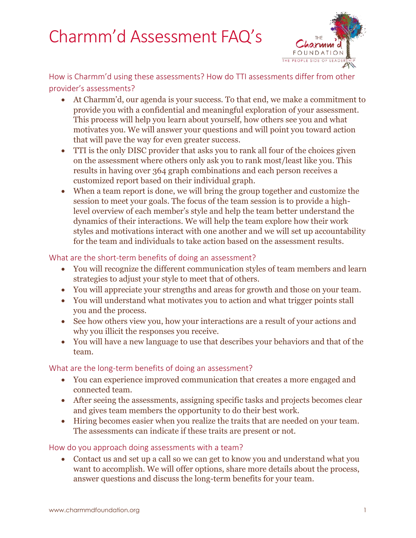# Charmm'd Assessment FAQ's



How is Charmm'd using these assessments? How do TTI assessments differ from other provider's assessments?

- At Charmm'd, our agenda is your success. To that end, we make a commitment to provide you with a confidential and meaningful exploration of your assessment. This process will help you learn about yourself, how others see you and what motivates you. We will answer your questions and will point you toward action that will pave the way for even greater success.
- TTI is the only DISC provider that asks you to rank all four of the choices given on the assessment where others only ask you to rank most/least like you. This results in having over 364 graph combinations and each person receives a customized report based on their individual graph.
- When a team report is done, we will bring the group together and customize the session to meet your goals. The focus of the team session is to provide a highlevel overview of each member's style and help the team better understand the dynamics of their interactions. We will help the team explore how their work styles and motivations interact with one another and we will set up accountability for the team and individuals to take action based on the assessment results.

What are the short-term benefits of doing an assessment?

- You will recognize the different communication styles of team members and learn strategies to adjust your style to meet that of others.
- You will appreciate your strengths and areas for growth and those on your team.
- You will understand what motivates you to action and what trigger points stall you and the process.
- See how others view you, how your interactions are a result of your actions and why you illicit the responses you receive.
- You will have a new language to use that describes your behaviors and that of the team.

What are the long-term benefits of doing an assessment?

- You can experience improved communication that creates a more engaged and connected team.
- After seeing the assessments, assigning specific tasks and projects becomes clear and gives team members the opportunity to do their best work.
- Hiring becomes easier when you realize the traits that are needed on your team. The assessments can indicate if these traits are present or not.

How do you approach doing assessments with a team?

 Contact us and set up a call so we can get to know you and understand what you want to accomplish. We will offer options, share more details about the process, answer questions and discuss the long-term benefits for your team.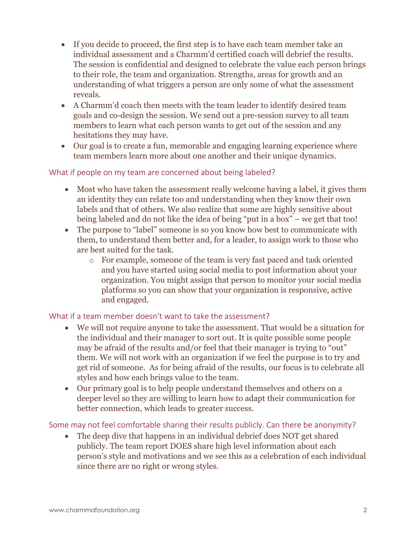- If you decide to proceed, the first step is to have each team member take an individual assessment and a Charmm'd certified coach will debrief the results. The session is confidential and designed to celebrate the value each person brings to their role, the team and organization. Strengths, areas for growth and an understanding of what triggers a person are only some of what the assessment reveals.
- A Charmm'd coach then meets with the team leader to identify desired team goals and co-design the session. We send out a pre-session survey to all team members to learn what each person wants to get out of the session and any hesitations they may have.
- Our goal is to create a fun, memorable and engaging learning experience where team members learn more about one another and their unique dynamics.

## What if people on my team are concerned about being labeled?

- Most who have taken the assessment really welcome having a label, it gives them an identity they can relate too and understanding when they know their own labels and that of others. We also realize that some are highly sensitive about being labeled and do not like the idea of being "put in a box" – we get that too!
- The purpose to "label" someone is so you know how best to communicate with them, to understand them better and, for a leader, to assign work to those who are best suited for the task.
	- o For example, someone of the team is very fast paced and task oriented and you have started using social media to post information about your organization. You might assign that person to monitor your social media platforms so you can show that your organization is responsive, active and engaged.

## What if a team member doesn't want to take the assessment?

- We will not require anyone to take the assessment. That would be a situation for the individual and their manager to sort out. It is quite possible some people may be afraid of the results and/or feel that their manager is trying to "out" them. We will not work with an organization if we feel the purpose is to try and get rid of someone. As for being afraid of the results, our focus is to celebrate all styles and how each brings value to the team.
- Our primary goal is to help people understand themselves and others on a deeper level so they are willing to learn how to adapt their communication for better connection, which leads to greater success.

Some may not feel comfortable sharing their results publicly. Can there be anonymity?

 The deep dive that happens in an individual debrief does NOT get shared publicly. The team report DOES share high level information about each person's style and motivations and we see this as a celebration of each individual since there are no right or wrong styles.